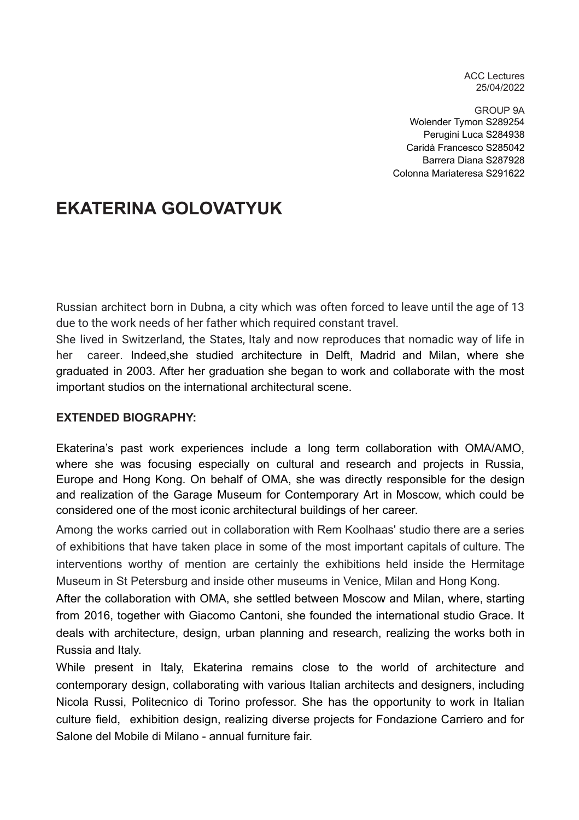ACC Lectures 25/04/2022

GROUP 9A Wolender Tymon S289254 Perugini Luca S284938 Caridà Francesco S285042 Barrera Diana S287928 Colonna Mariateresa S291622

# **EKATERINA GOLOVATYUK**

Russian architect born in Dubna, a city which was often forced to leave until the age of 13 due to the work needs of her father which required constant travel.

She lived in Switzerland, the States, Italy and now reproduces that nomadic way of life in her career. Indeed,she studied architecture in Delft, Madrid and Milan, where she graduated in 2003. After her graduation she began to work and collaborate with the most important studios on the international architectural scene.

#### **EXTENDED BIOGRAPHY:**

Ekaterina's past work experiences include a long term collaboration with OMA/AMO, where she was focusing especially on cultural and research and projects in Russia, Europe and Hong Kong. On behalf of OMA, she was directly responsible for the design and realization of the Garage Museum for Contemporary Art in Moscow, which could be considered one of the most iconic architectural buildings of her career.

Among the works carried out in collaboration with Rem Koolhaas' studio there are a series of exhibitions that have taken place in some of the most important capitals of culture. The interventions worthy of mention are certainly the exhibitions held inside the Hermitage Museum in St Petersburg and inside other museums in Venice, Milan and Hong Kong.

After the collaboration with OMA, she settled between Moscow and Milan, where, starting from 2016, together with Giacomo Cantoni, she founded the international studio Grace. It deals with architecture, design, urban planning and research, realizing the works both in Russia and Italy.

While present in Italy, Ekaterina remains close to the world of architecture and contemporary design, collaborating with various Italian architects and designers, including Nicola Russi, Politecnico di Torino professor. She has the opportunity to work in Italian culture field, exhibition design, realizing diverse projects for Fondazione Carriero and for Salone del Mobile di Milano - annual furniture fair.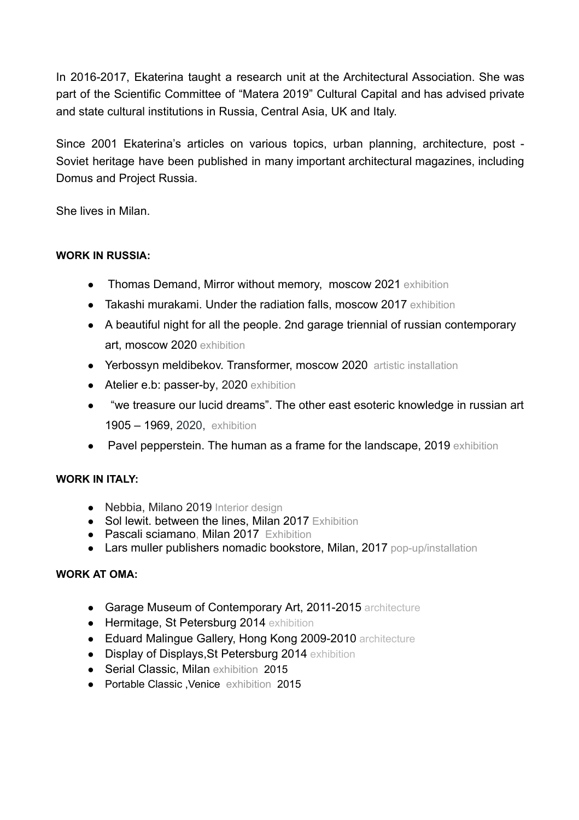In 2016-2017, Ekaterina taught a research unit at the Architectural Association. She was part of the Scientific Committee of "Matera 2019" Cultural Capital and has advised private and state cultural institutions in Russia, Central Asia, UK and Italy.

Since 2001 Ekaterina's articles on various topics, urban planning, architecture, post - Soviet heritage have been published in many important architectural magazines, including Domus and Project Russia.

She lives in Milan.

#### **WORK IN RUSSIA:**

- Thomas Demand, Mirror without memory, moscow 2021 exhibition
- Takashi murakami. Under the radiation falls, moscow 2017 exhibition
- A beautiful night for all the people. 2nd garage triennial of russian contemporary art, moscow 2020 exhibition
- Yerbossyn meldibekov. Transformer, moscow 2020 artistic installation
- Atelier e.b: passer-by, 2020 exhibition
- "we treasure our lucid dreams". The other east esoteric knowledge in russian art 1905 – 1969, 2020, exhibition
- Pavel pepperstein. The human as a frame for the landscape, 2019 exhibition

#### **WORK IN ITALY:**

- Nebbia, Milano 2019 Interior design
- Sol lewit. between the lines, Milan 2017 Exhibition
- Pascali sciamano, Milan 2017 Exhibition
- Lars muller publishers nomadic bookstore, Milan, 2017 pop-up/installation

#### **WORK AT OMA:**

- Garage Museum of Contemporary Art, 2011-2015 architecture
- Hermitage, St Petersburg 2014 exhibition
- Eduard Malingue Gallery, Hong Kong 2009-2010 architecture
- Display of Displays, St Petersburg 2014 exhibition
- Serial Classic, Milan exhibition 2015
- Portable Classic ,Venice exhibition 2015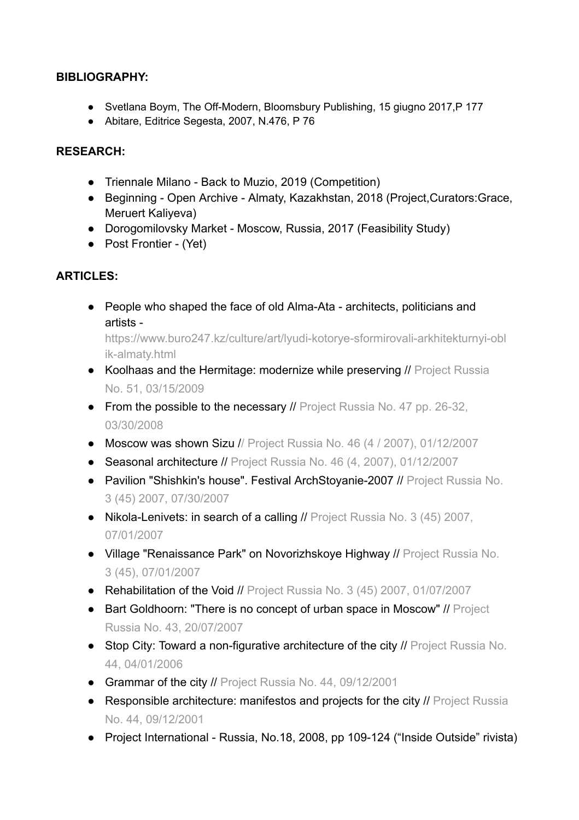#### **BIBLIOGRAPHY:**

- Svetlana Boym, The Off-Modern, Bloomsbury Publishing, 15 giugno 2017, P177
- Abitare, Editrice Segesta, 2007, N.476, P 76

#### **RESEARCH:**

- Triennale Milano Back to Muzio, 2019 (Competition)
- Beginning Open Archive Almaty, Kazakhstan, 2018 (Project,Curators:Grace, Meruert Kaliyeva)
- Dorogomilovsky Market Moscow, Russia, 2017 (Feasibility Study)
- Post Frontier (Yet)

# **ARTICLES:**

● People who shaped the face of old Alma-Ata - architects, politicians and artists -

https://www.buro247.kz/culture/art/lyudi-kotorye-sformirovali-arkhitekturnyi-obl ik-almaty.html

- Koolhaas and the Hermitage: modernize while preserving // Project Russia No. 51, 03/15/2009
- From the possible to the necessary // Project Russia No. 47 pp. 26-32, 03/30/2008
- Moscow was shown Sizu // Project Russia No. 46 (4 / 2007), 01/12/2007
- Seasonal architecture // Project Russia No. 46 (4, 2007), 01/12/2007
- Pavilion "Shishkin's house". Festival ArchStoyanie-2007 // Project Russia No. 3 (45) 2007, 07/30/2007
- Nikola-Lenivets: in search of a calling // Project Russia No. 3 (45) 2007, 07/01/2007
- Village "Renaissance Park" on Novorizhskoye Highway // Project Russia No. 3 (45), 07/01/2007
- Rehabilitation of the Void // Project Russia No. 3 (45) 2007, 01/07/2007
- Bart Goldhoorn: "There is no concept of urban space in Moscow" // Project Russia No. 43, 20/07/2007
- Stop City: Toward a non-figurative architecture of the city // Project Russia No. 44, 04/01/2006
- Grammar of the city // Project Russia No. 44, 09/12/2001
- Responsible architecture: manifestos and projects for the city // Project Russia No. 44, 09/12/2001
- Project International Russia, No.18, 2008, pp 109-124 ("Inside Outside" rivista)